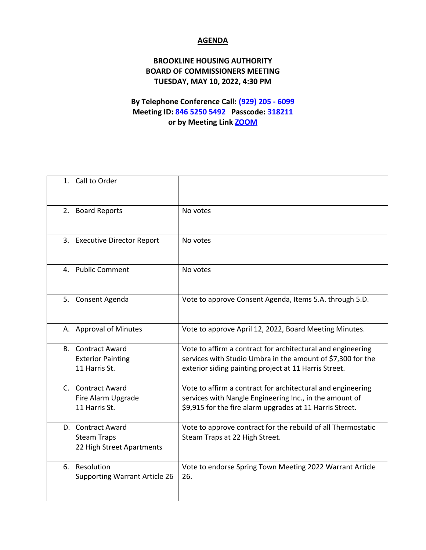## **AGENDA**

## **BROOKLINE HOUSING AUTHORITY BOARD OF COMMISSIONERS MEETING TUESDAY, MAY 10, 2022, 4:30 PM**

## **By Telephone Conference Call: (929) 205 - 6099 Meeting ID: 846 5250 5492 Passcode: 318211 or by Meeting Link [ZOOM](https://us02web.zoom.us/j/84652505492?pwd=Q01DSnByN0tSZjAwNjFUd3JRYzk5dz09)**

| 1. Call to Order                                                      |                                                                                                                                                                                     |
|-----------------------------------------------------------------------|-------------------------------------------------------------------------------------------------------------------------------------------------------------------------------------|
| 2. Board Reports                                                      | No votes                                                                                                                                                                            |
| 3. Executive Director Report                                          | No votes                                                                                                                                                                            |
| 4. Public Comment                                                     | No votes                                                                                                                                                                            |
| 5. Consent Agenda                                                     | Vote to approve Consent Agenda, Items 5.A. through 5.D.                                                                                                                             |
| A. Approval of Minutes                                                | Vote to approve April 12, 2022, Board Meeting Minutes.                                                                                                                              |
| <b>B.</b> Contract Award<br><b>Exterior Painting</b><br>11 Harris St. | Vote to affirm a contract for architectural and engineering<br>services with Studio Umbra in the amount of \$7,300 for the<br>exterior siding painting project at 11 Harris Street. |
| C. Contract Award<br>Fire Alarm Upgrade<br>11 Harris St.              | Vote to affirm a contract for architectural and engineering<br>services with Nangle Engineering Inc., in the amount of<br>\$9,915 for the fire alarm upgrades at 11 Harris Street.  |
| D. Contract Award<br><b>Steam Traps</b><br>22 High Street Apartments  | Vote to approve contract for the rebuild of all Thermostatic<br>Steam Traps at 22 High Street.                                                                                      |
| Resolution<br>6.<br><b>Supporting Warrant Article 26</b>              | Vote to endorse Spring Town Meeting 2022 Warrant Article<br>26.                                                                                                                     |